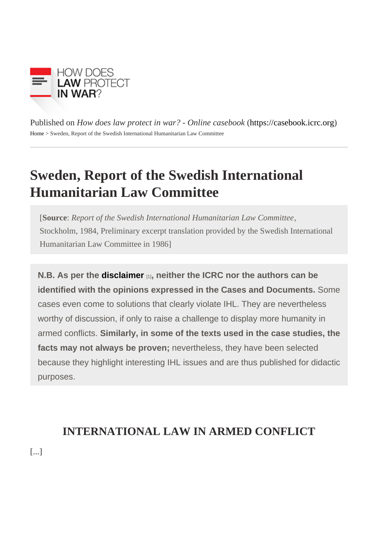Published on How does law protect in war? - Online caseboot these://caseb[ook](https://casebook.icrc.org).icrc.org [Home](https://casebook.icrc.org/) > Sweden, Report of the Swedish International Humanitarian Law Committee

## Sweden, Report of the Swedish International Humanitarian Law Committee

[Source Report of the Swedish International Humanitarian Law Committee Stockholm, 1984, Preliminary excerpt translation provided by the Swedish International Humanitarian Law Committee in 1986]

N.B. As per the [disclaimer](https://casebook.icrc.org/disclaimer-and-copyright)  $_{[1]}$ , neither the ICRC nor the authors can be identified with the opinions expressed in the Cases and Documents. Some cases even come to solutions that clearly violate IHL. They are nevertheless worthy of discussion, if only to raise a challenge to display more humanity in armed conflicts. Similarly, in some of the texts used in the case studies, the facts may not always be proven; nevertheless, they have been selected because they highlight interesting IHL issues and are thus published for didactic purposes.

# INTERNATIONAL LAW IN ARMED CONFLICT

[...]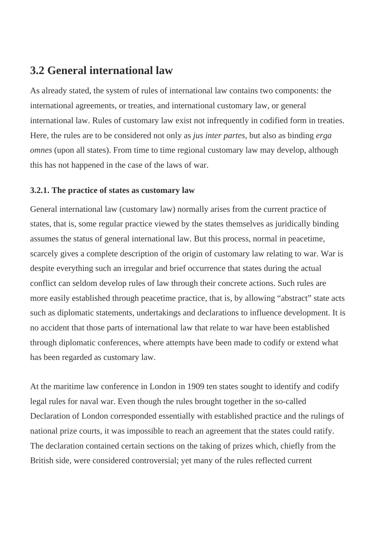### **3.2 General international law**

As already stated, the system of rules of international law contains two components: the international agreements, or treaties, and international customary law, or general international law. Rules of customary law exist not infrequently in codified form in treaties. Here, the rules are to be considered not only as *jus inter partes*, but also as binding *erga omnes* (upon all states). From time to time regional customary law may develop, although this has not happened in the case of the laws of war.

#### **3.2.1. The practice of states as customary law**

General international law (customary law) normally arises from the current practice of states, that is, some regular practice viewed by the states themselves as juridically binding assumes the status of general international law. But this process, normal in peacetime, scarcely gives a complete description of the origin of customary law relating to war. War is despite everything such an irregular and brief occurrence that states during the actual conflict can seldom develop rules of law through their concrete actions. Such rules are more easily established through peacetime practice, that is, by allowing "abstract" state acts such as diplomatic statements, undertakings and declarations to influence development. It is no accident that those parts of international law that relate to war have been established through diplomatic conferences, where attempts have been made to codify or extend what has been regarded as customary law.

At the maritime law conference in London in 1909 ten states sought to identify and codify legal rules for naval war. Even though the rules brought together in the so-called Declaration of London corresponded essentially with established practice and the rulings of national prize courts, it was impossible to reach an agreement that the states could ratify. The declaration contained certain sections on the taking of prizes which, chiefly from the British side, were considered controversial; yet many of the rules reflected current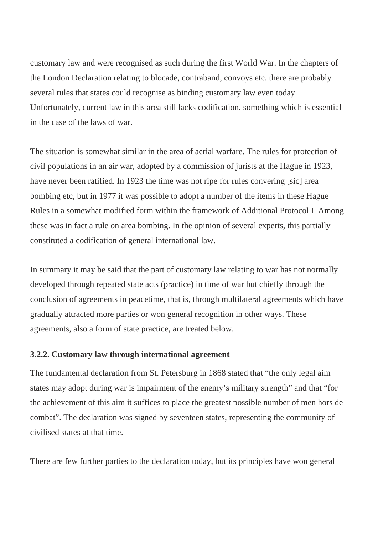customary law and were recognised as such during the first World War. In the chapters of the London Declaration relating to blocade, contraband, convoys etc. there are probably several rules that states could recognise as binding customary law even today. Unfortunately, current law in this area still lacks codification, something which is essential in the case of the laws of war.

The situation is somewhat similar in the area of aerial warfare. The rules for protection of civil populations in an air war, adopted by a commission of jurists at the Hague in 1923, have never been ratified. In 1923 the time was not ripe for rules convering [sic] area bombing etc, but in 1977 it was possible to adopt a number of the items in these Hague Rules in a somewhat modified form within the framework of Additional Protocol I. Among these was in fact a rule on area bombing. In the opinion of several experts, this partially constituted a codification of general international law.

In summary it may be said that the part of customary law relating to war has not normally developed through repeated state acts (practice) in time of war but chiefly through the conclusion of agreements in peacetime, that is, through multilateral agreements which have gradually attracted more parties or won general recognition in other ways. These agreements, also a form of state practice, are treated below.

#### **3.2.2. Customary law through international agreement**

The fundamental declaration from St. Petersburg in 1868 stated that "the only legal aim states may adopt during war is impairment of the enemy's military strength" and that "for the achievement of this aim it suffices to place the greatest possible number of men hors de combat". The declaration was signed by seventeen states, representing the community of civilised states at that time.

There are few further parties to the declaration today, but its principles have won general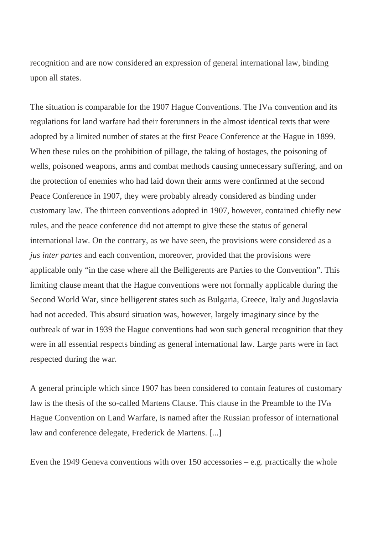recognition and are now considered an expression of general international law, binding upon all states.

The situation is comparable for the 1907 Hague Conventions. The IV $<sub>th</sub>$  convention and its</sub> regulations for land warfare had their forerunners in the almost identical texts that were adopted by a limited number of states at the first Peace Conference at the Hague in 1899. When these rules on the prohibition of pillage, the taking of hostages, the poisoning of wells, poisoned weapons, arms and combat methods causing unnecessary suffering, and on the protection of enemies who had laid down their arms were confirmed at the second Peace Conference in 1907, they were probably already considered as binding under customary law. The thirteen conventions adopted in 1907, however, contained chiefly new rules, and the peace conference did not attempt to give these the status of general international law. On the contrary, as we have seen, the provisions were considered as a *jus inter partes* and each convention, moreover, provided that the provisions were applicable only "in the case where all the Belligerents are Parties to the Convention". This limiting clause meant that the Hague conventions were not formally applicable during the Second World War, since belligerent states such as Bulgaria, Greece, Italy and Jugoslavia had not acceded. This absurd situation was, however, largely imaginary since by the outbreak of war in 1939 the Hague conventions had won such general recognition that they were in all essential respects binding as general international law. Large parts were in fact respected during the war.

A general principle which since 1907 has been considered to contain features of customary law is the thesis of the so-called Martens Clause. This clause in the Preamble to the IVth Hague Convention on Land Warfare, is named after the Russian professor of international law and conference delegate, Frederick de Martens. [...]

Even the 1949 Geneva conventions with over 150 accessories – e.g. practically the whole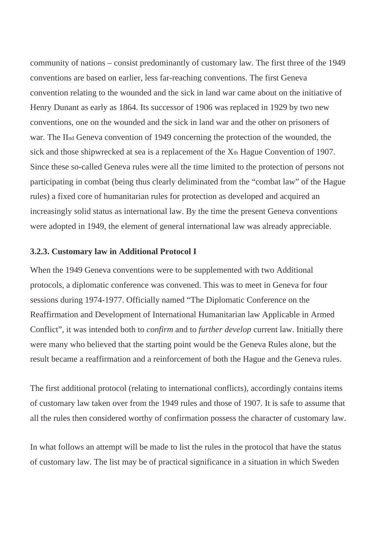community of nations – consist predominantly of customary law. The first three of the 1949 conventions are based on earlier, less far-reaching conventions. The first Geneva convention relating to the wounded and the sick in land war came about on the initiative of Henry Dunant as early as 1864. Its successor of 1906 was replaced in 1929 by two new conventions, one on the wounded and the sick in land war and the other on prisoners of war. The IInd Geneva convention of 1949 concerning the protection of the wounded, the sick and those shipwrecked at sea is a replacement of the  $X<sub>th</sub>$  Hague Convention of 1907. Since these so-called Geneva rules were all the time limited to the protection of persons not participating in combat (being thus clearly deliminated from the "combat law" of the Hague rules) a fixed core of humanitarian rules for protection as developed and acquired an increasingly solid status as international law. By the time the present Geneva conventions were adopted in 1949, the element of general international law was already appreciable.

#### **3.2.3. Customary law in Additional Protocol I**

When the 1949 Geneva conventions were to be supplemented with two Additional protocols, a diplomatic conference was convened. This was to meet in Geneva for four sessions during 1974-1977. Officially named "The Diplomatic Conference on the Reaffirmation and Development of International Humanitarian law Applicable in Armed Conflict", it was intended both to *confirm* and to *further develop* current law. Initially there were many who believed that the starting point would be the Geneva Rules alone, but the result became a reaffirmation and a reinforcement of both the Hague and the Geneva rules.

The first additional protocol (relating to international conflicts), accordingly contains items of customary law taken over from the 1949 rules and those of 1907. It is safe to assume that all the rules then considered worthy of confirmation possess the character of customary law.

In what follows an attempt will be made to list the rules in the protocol that have the status of customary law. The list may be of practical significance in a situation in which Sweden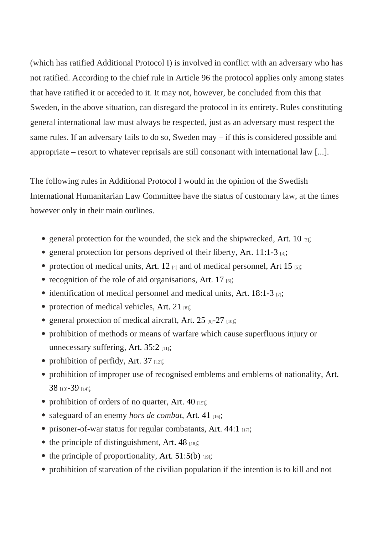(which has ratified Additional Protocol I) is involved in conflict with an adversary who has not ratified. According to the chief rule in Article 96 the protocol applies only among states that have ratified it or acceded to it. It may not, however, be concluded from this that Sweden, in the above situation, can disregard the protocol in its entirety. Rules constituting general international law must always be respected, just as an adversary must respect the same rules. If an adversary fails to do so, Sweden may – if this is considered possible and appropriate – resort to whatever reprisals are still consonant with international law [...].

The following rules in Additional Protocol I would in the opinion of the Swedish International Humanitarian Law Committee have the status of customary law, at the times however only in their main outlines.

- general protection for the wounded, the sick and the shipwre axed,  $O_{[2]}$ ;
- general protection for persons deprived of their liberary, 11:1-3 $_{[3]}$ ;
- protection of medical units, and  $A_{[4]}$  and of medical personnely that 15 [5];
- recognition of the role of aid organisationst. 17 $_{[6]}$ ;
- identification of medical personnel and medical units,  $18:1-3_{[7]}$ ;
- protection of medical vehicle $\Delta$ rt. 21 $_{[8]}$ ;
- general protection of medical aircraftert.  $25$   $_{[9]}-27$  $_{[9]}-27$   $_{[10]}$ ;
- prohibition of methods or means of warfare which cause superfluous injury or unnecessary suffering  $rt. 35:2_{[11]}$ ;
- prohibition of perfidy, Art.  $37$ <sub>[12]</sub>;
- prohibition of improper use of recognised emblems and emblems of nati[onalit](https://www.icrc.org/applic/ihl/ihl.nsf/Article.xsp?action=openDocument&documentId=1FCA9F6DD470F5A9C12563CD0051DB28)y, [38](https://www.icrc.org/applic/ihl/ihl.nsf/Article.xsp?action=openDocument&documentId=1FCA9F6DD470F5A9C12563CD0051DB28) [13]-[39](https://www.icrc.org/applic/ihl/ihl.nsf/Article.xsp?action=openDocument&documentId=C5D71B78117289FBC12563CD0051DB3C) [14];
- prohibition of orders of no quarter, 40 $_{[15]}$ ;
- safeguard of an enemnors de combat [Art. 41](https://www.icrc.org/applic/ihl/ihl.nsf/Article.xsp?action=openDocument&documentId=A792529AA66D8C56C12563CD0051DB5E) $_{[16]}$ ;
- prisoner-of-war status for regular combata $A$ its, 44:1 $_{[17]}$ ;
- the principle of distinguishment,  $48$ <sub>[18]</sub>;
- the principle of proportionality, Art.  $51:5(b)_{[19]}$ ;
- prohibition of starvation of the civilian population if the intention is to kill and not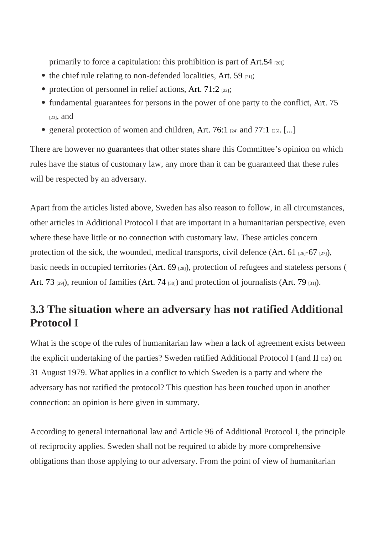primarily to force a capitulation: this prohibition is part  $4I.54$  [20];

- the chief rule relating to non-defended localitiest,  $59_{[21]}$ ;
- protection of personnel in relief actions,  $71:2_{[22]}$ ;
- fundamental guarantees for persons in the power of one party to the cantileration-[23], and
- general protection of women and childrent,  $76:1_{[24]}$  and  $77:1_{[25]}$ . [...]

There are however no guarantees that other states share this Committee's opinion on which rules have the status of customary law, any more than it can be guaranteed that these rules will be respected by an adversary.

Apart from the articles listed above, Sweden has also reason to follow, in all circumstances, other articles in Additional Protocol I that are important in a humanitarian perspective, even where these have little or no connection with customary law. These articles concern protection of the sick, the wounded, medical transports, civil deferment  $\left( \frac{1}{26} - 67 \frac{1}{27} \right)$ , basic needs in occupied territoriest  $(69_{[28]})$ , protection of refugees and stateless persons ( [Art. 73](https://www.icrc.org/applic/ihl/ihl.nsf/Article.xsp?action=openDocument&documentId=319C8D02127ADAD2C12563CD0051E004)<sup>[29]</sup>), reunion of families [\(Art. 74](https://www.icrc.org/applic/ihl/ihl.nsf/Article.xsp?action=openDocument&documentId=FA05E6C8DC155D80C12563CD0051E016)<sup>[30]</sup>) and protection of journalist  $f(x, 79)$ <sub>[31]</sub>).

## 3.3 The situation where an adversary has not ratified Additional Protocol I

What is the scope of the rules of humanitarian law when a lack of agreement exists betweer the explicit undertaking of the parties? Sweden ratified Additional Protocol [II](https://www.icrc.org/applic/ihl/ihl.nsf/Treaty.xsp?documentId=AA0C5BCBAB5C4A85C12563CD002D6D09&action=openDocument)(an) don 31 August 1979. What applies in a conflict to which Sweden is a party and where the adversary has not ratified the protocol? This question has been touched upon in another connection: an opinion is here given in summary.

According to general international law and Article 96 of Additional Protocol I, the principle of reciprocity applies. Sweden shall not be required to abide by more comprehensive obligations than those applying to our adversary. From the point of view of humanitarian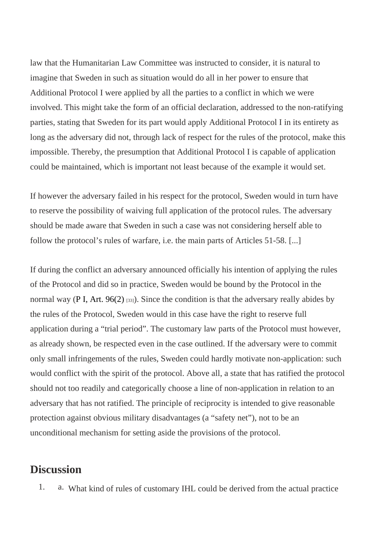law that the Humanitarian Law Committee was instructed to consider, it is natural to imagine that Sweden in such as situation would do all in her power to ensure that Additional Protocol I were applied by all the parties to a conflict in which we were involved. This might take the form of an official declaration, addressed to the non-ratifying parties, stating that Sweden for its part would apply Additional Protocol I in its entirety as long as the adversary did not, through lack of respect for the rules of the protocol, make this impossible. Thereby, the presumption that Additional Protocol I is capable of application could be maintained, which is important not least because of the example it would set.

If however the adversary failed in his respect for the protocol, Sweden would in turn have to reserve the possibility of waiving full application of the protocol rules. The adversary should be made aware that Sweden in such a case was not considering herself able to follow the protocol's rules of warfare, i.e. the main parts of Articles 51-58. [...]

If during the conflict an adversary announced officially his intention of applying the rules of the Protocol and did so in practice, Sweden would be bound by the Protocol in the normal way  $P$  I, Art. 96(2)<sub>[33]</sub>). Since the condition is that the adversary really abides by the rules of the Protocol, Sweden would in this case have the right to reserve full application during a "trial period". The customary law parts of the Protocol must however, as already shown, be respected even in the case outlined. If the adversary were to commit only small infringements of the rules, Sweden could hardly motivate non-application: such would conflict with the spirit of the protocol. Above all, a state that has ratified the protocol should not too readily and categorically choose a line of non-application in relation to an adversary that has not ratified. The principle of reciprocity is intended to give reasonable protection against obvious military disadvantages (a "safety net"), not to be an unconditional mechanism for setting aside the provisions of the protocol.

## **Discussion**

1. a. What kind of rules of customary IHL could be derived from the actual practice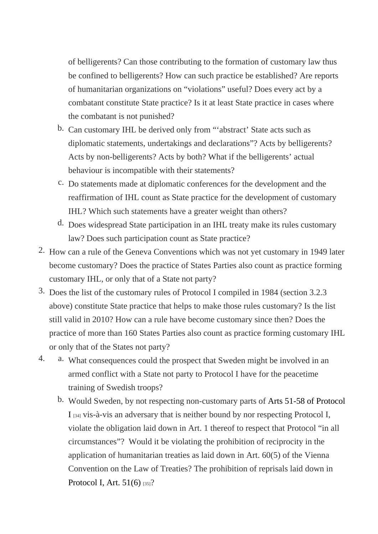of belligerents? Can those contributing to the formation of customary law thus be confined to belligerents? How can such practice be established? Are reports of humanitarian organizations on "violations" useful? Does every act by a combatant constitute State practice? Is it at least State practice in cases where the combatant is not punished?

- b. Can customary IHL be derived only from "'abstract' State acts such as diplomatic statements, undertakings and declarations"? Acts by belligerents? Acts by non-belligerents? Acts by both? What if the belligerents' actual behaviour is incompatible with their statements?
- c. Do statements made at diplomatic conferences for the development and the reaffirmation of IHL count as State practice for the development of customary IHL? Which such statements have a greater weight than others?
- d. Does widespread State participation in an IHL treaty make its rules customary law? Does such participation count as State practice?
- 2. How can a rule of the Geneva Conventions which was not yet customary in 1949 later become customary? Does the practice of States Parties also count as practice forming customary IHL, or only that of a State not party?
- 3. Does the list of the customary rules of Protocol I compiled in 1984 (section 3.2.3 above) constitute State practice that helps to make those rules customary? Is the list still valid in 2010? How can a rule have become customary since then? Does the practice of more than 160 States Parties also count as practice forming customary IHL or only that of the States not party?
- 4. a. What consequences could the prospect that Sweden might be involved in an armed conflict with a State not party to Protocol I have for the peacetime training of Swedish troops?
	- b. Would Sweden, by not respecting non-customary parts of 51-58 of Protocol [I](https://ihl-databases.icrc.org/applic/ihl/ihl.nsf/Treaty.xsp?action=openDocument&documentId=D9E6B6264D7723C3C12563CD002D6CE4) [34] vis-à-vis an adversary that is neither bound by nor respecting Protocol I, violate the obligation laid down in Art. 1 thereof to respect that Protocol "in all circumstances"? Would it be violating the prohibition of reciprocity in the application of humanitarian treaties as laid down in Art. 60(5) of the Vienna Convention on the Law of Treaties? The prohibition of reprisals laid down in Protocol I, Art.  $51(6)_{35}$ ?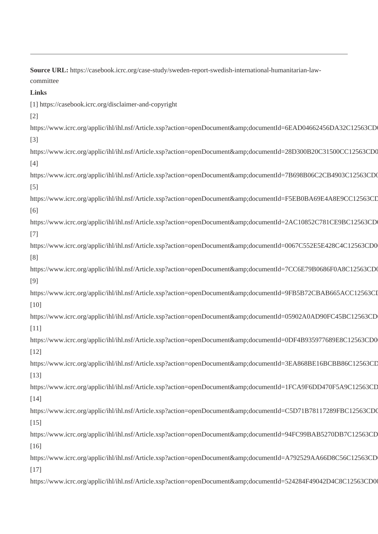**Source URL:** https://casebook.icrc.org/case-study/sweden-report-swedish-international-humanitarian-lawcommittee

**Links**

[1] https://casebook.icrc.org/disclaimer-and-copyright

[2]

https://www.icrc.org/applic/ihl/ihl.nsf/Article.xsp?action=openDocument&documentId=6EAD04662456DA32C12563CD [3] https://www.icrc.org/applic/ihl/ihl.nsf/Article.xsp?action=openDocument&documentId=28D300B20C31500CC12563CD0 [4] https://www.icrc.org/applic/ihl/ihl.nsf/Article.xsp?action=openDocument&documentId=7B698B06C2CB4903C12563CD0 [5] https://www.icrc.org/applic/ihl/ihl.nsf/Article.xsp?action=openDocument&documentId=F5EB0BA69E4A8E9CC12563CD [6] https://www.icrc.org/applic/ihl/ihl.nsf/Article.xsp?action=openDocument&documentId=2AC10852C781CE9BC12563CD [7] https://www.icrc.org/applic/ihl/ihl.nsf/Article.xsp?action=openDocument&documentId=0067C552E5E428C4C12563CD0 [8] https://www.icrc.org/applic/ihl/ihl.nsf/Article.xsp?action=openDocument&documentId=7CC6E79B0686F0A8C12563CD0 [9] https://www.icrc.org/applic/ihl/ihl.nsf/Article.xsp?action=openDocument&documentId=9FB5B72CBAB665ACC12563CI [10] https://www.icrc.org/applic/ihl/ihl.nsf/Article.xsp?action=openDocument&amp:documentId=05902A0AD90FC45BC12563CD [11] https://www.icrc.org/applic/ihl/ihl.nsf/Article.xsp?action=openDocument&documentId=0DF4B935977689E8C12563CD0 [12] https://www.icrc.org/applic/ihl/ihl.nsf/Article.xsp?action=openDocument&documentId=3EA868BE16BCBB86C12563CD [13] https://www.icrc.org/applic/ihl/ihl.nsf/Article.xsp?action=openDocument&documentId=1FCA9F6DD470F5A9C12563CD [14] https://www.icrc.org/applic/ihl/ihl.nsf/Article.xsp?action=openDocument&documentId=C5D71B78117289FBC12563CD0 [15] https://www.icrc.org/applic/ihl/ihl.nsf/Article.xsp?action=openDocument&documentId=94FC99BAB5270DB7C12563CD [16] https://www.icrc.org/applic/ihl/ihl.nsf/Article.xsp?action=openDocument&documentId=A792529AA66D8C56C12563CD [17] https://www.icrc.org/applic/ihl/ihl.nsf/Article.xsp?action=openDocument&documentId=524284F49042D4C8C12563CD0